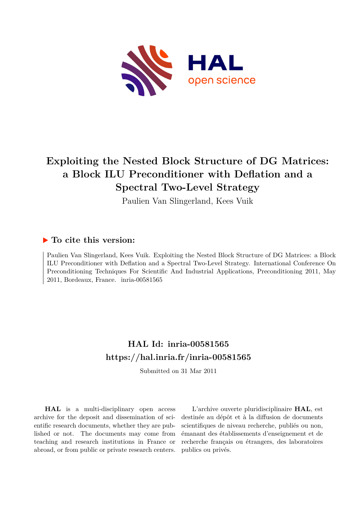

# **Exploiting the Nested Block Structure of DG Matrices: a Block ILU Preconditioner with Deflation and a Spectral Two-Level Strategy**

Paulien Van Slingerland, Kees Vuik

### **To cite this version:**

Paulien Van Slingerland, Kees Vuik. Exploiting the Nested Block Structure of DG Matrices: a Block ILU Preconditioner with Deflation and a Spectral Two-Level Strategy. International Conference On Preconditioning Techniques For Scientific And Industrial Applications, Preconditioning 2011, May 2011, Bordeaux, France.  $inria-00581565$ 

## **HAL Id: inria-00581565 <https://hal.inria.fr/inria-00581565>**

Submitted on 31 Mar 2011

**HAL** is a multi-disciplinary open access archive for the deposit and dissemination of scientific research documents, whether they are published or not. The documents may come from teaching and research institutions in France or abroad, or from public or private research centers.

L'archive ouverte pluridisciplinaire **HAL**, est destinée au dépôt et à la diffusion de documents scientifiques de niveau recherche, publiés ou non, émanant des établissements d'enseignement et de recherche français ou étrangers, des laboratoires publics ou privés.